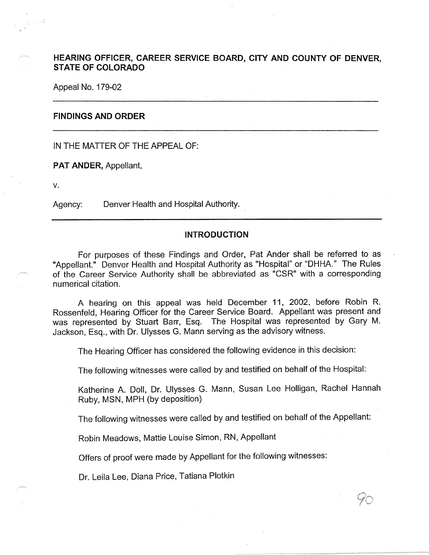# **HEARING OFFICER, CAREER SERVICE BOARD, CITY AND COUNTY OF DENVER, STATE OF COLORADO**

Appeal No. 179-02

### **FINDINGS AND ORDER**

IN THE MATTER OF THE APPEAL OF:

**PAT ANDER,** Appellant,

**V.** 

Agency: Denver Health and Hospital Authority.

#### **INTRODUCTION**

For purposes of these Findings and Order, Pat Ander shall be referred to as "Appellant." Denver Health and Hospital Authority as "Hospital" or "DHHA." The Rules of the Career Service Authority shall be abbreviated as "CSR" with a corresponding numerical citation.

A hearing on this appeal was held December 11, 2002, before Robin R. Rossenfeld, Hearing Officer for the Career Service Board. Appellant was present and was represented by Stuart Barr, Esq. The Hospital was represented by Gary M. Jackson, Esq., with Dr. Ulysses G. Mann serving as the advisory witness.

The Hearing Officer has considered the following evidence in this decision:

The following witnesses were called by and testified on behalf of the Hospital:

Katherine A. Doll, Dr. Ulysses G. Mann, Susan Lee Holligan, Rachel Hannah Ruby, MSN, MPH (by deposition)

The following witnesses were called by and testified on behalf of the Appellant:

Robin Meadows, Mattie Louise Simon, RN, Appellant

Offers of proof were made by Appellant for the following witnesses:

Dr. Leila Lee, Diana Price, Tatiana Plotkin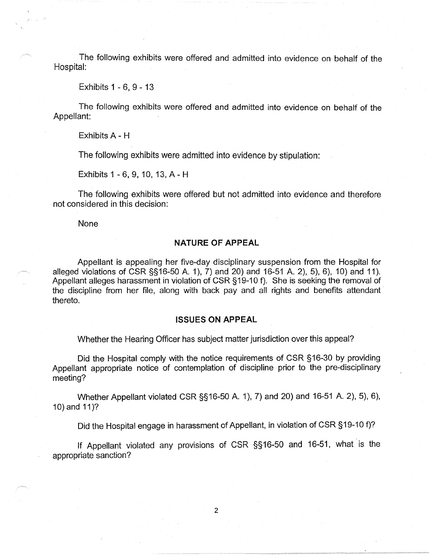The following exhibits were offered and admitted into evidence on behalf of the Hospital:

Exhibits 1 - 6, 9 - 13

The following exhibits were offered and admitted into evidence on behalf of the Appellant:

Exhibits A - H

The following exhibits were admitted into evidence by stipulation:

Exhibits 1 - 6, 9, 10, 13, A- H

The following exhibits were offered but not admitted into evidence and therefore not considered in this decision:

None

## **NATURE OF APPEAL**

Appellant is appealing her five-day disciplinary suspension from the Hospital for alleged violations of CSR §§16-50 A. 1), 7) and 20) and 16-51 A. 2), 5), 6), 10) and 11). Appellant alleges harassment in violation of CSR §19-10 f). She is seeking the removal of the discipline from her file, along with back pay and all rights and benefits attendant thereto.

### **ISSUES ON APPEAL**

Whether the Hearing Officer has subject matter jurisdiction over this appeal?

Did the Hospital comply with the notice requirements of CSR §16-30 by providing Appellant appropriate notice of contemplation of discipline prior to the pre-disciplinary meeting?

Whether Appellant violated CSR §§16-50 A. 1), 7) and 20) and 16-51 A. 2), 5), 6), 10) and 11)?

Did the Hospital engage in harassment of Appellant, in violation of CSR § 19-10 f)?

If Appellant violated any provisions of CSR §§ 16-50 and 16-51, what is the appropriate sanction?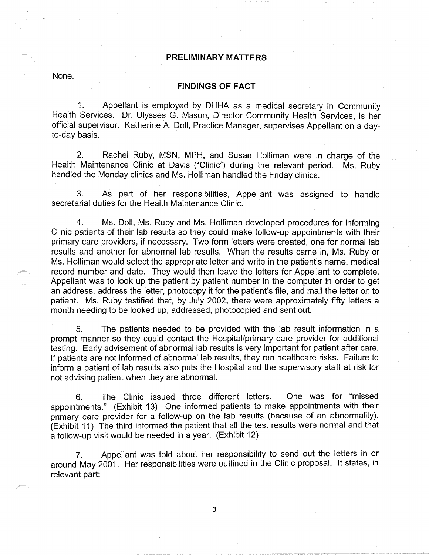## **PRELIMINARY MATTERS**

None.

## **FINDINGS OF FACT**

1. Appellant is employed by DHHA as a medical secretary in Community Health Services. Dr. Ulysses G. Mason, Director Community Health Services, is her official supervisor. Katherine A. Doll, Practice Manager, supervises Appellant on a dayto-day basis.

2. Rachel Ruby, MSN, MPH, and Susan Holliman were in charge of the Health Maintenance Clinic at Davis ("Clinic") during the relevant period. Ms. Ruby handled the Monday clinics and Ms. Holliman handled the Friday clinics.

3. As part of her responsibilities, Appellant was assigned to handle secretarial duties for the Health Maintenance Clinic.

4. Ms. Doll, Ms. Ruby and Ms. Holliman developed procedures for informing Clinic patients of their lab results so they could make follow-up appointments with their primary care providers, if necessary. Two form letters were created, one for normal lab results and another for abnormal lab results. When the results came in, Ms. Ruby or Ms. Holliman would select the appropriate letter and write in the patient's name, medical record number and date. They would then leave the letters for Appellant to complete. Appellant was to look up the patient by patient number in the computer in order to get an address, address the letter, photocopy it for the patient's file, and mail the letter on to patient. Ms. Ruby testified that, by July 2002, there were approximately fifty letters a month needing to be looked up, addressed, photocopied and sent out.

5. The patients needed to be provided with the lab result information in a prompt manner so they could contact the Hospital/primary care provider for additional testing. Early advisement of abnormal lab results is very important for patient after care. If patients are not informed of abnormal lab results, they run healthcare risks. Failure to inform a patient of lab results also puts the Hospital and the supervisory staff at risk for not advising patient when they are abnormal.

6. The Clinic issued three different letters. One was for "missed appointments." (Exhibit 13) One informed patients to make appointments with their primary care provider for a follow-up on the lab results (because of an abnormality). (Exhibit 11) The third informed the patient that all the test results were normal and that a follow-up visit would be needed in a year. (Exhibit 12)

7. Appellant was told about her responsibility to send out the letters in or around May 2001. Her responsibilities were outlined in the Clinic proposal. It states, in relevant part: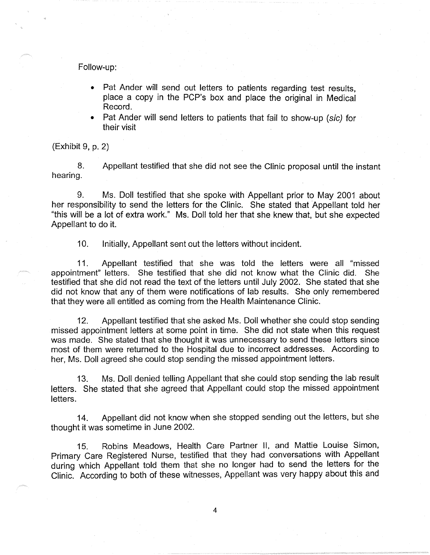Follow-up:

- Pat Ander will send out letters to patients regarding test results, place a copy in the PCP's box and place the original in Medical Record.
- Pat Ander will send letters to patients that fail to show-up (sic) for their visit

(Exhibit 9, p. 2)

8. Appellant testified that she did not see the Clinic proposal until the instant hearing.

9. Ms. Doll testified that she spoke with Appellant prior to May 2001 about her responsibility to send the letters for the Clinic. She stated that Appellant told her "this will be a lot of extra work." Ms. Doll told her that she knew that, but she expected Appellant to do it.

10. Initially, Appellant sent out the letters without incident.

11. Appellant testified that she was told the letters were all "missed appointment" letters. She testified that she did not know what the Clinic did. She testified that she did not read the text of the letters until July 2002. She stated that she did not know that any of them were notifications of lab results. She only remembered that they were all entitled as coming from the Health Maintenance Clinic.

12. Appellant testified that she asked Ms. Doll whether she could stop sending missed appointment letters at some point in time. She did not state when this request was made. She stated that she thought it was unnecessary to send these letters since most of them were returned to the Hospital due to incorrect addresses. According to her, Ms. Doll agreed she could stop sending the missed appointment letters.

13. Ms. Doll denied telling Appellant that she could stop sending the lab result letters. She stated that she agreed that Appellant could stop the missed appointment letters.

14. Appellant did not know when she stopped sending out the letters, but she thought it was sometime in June 2002.

15. Robins Meadows, Health Care Partner II, and Mattie Louise Simon, Primary Care Registered Nurse, testified that they had conversations with Appellant during which Appellant told them that she no longer had to send the letters for the Clinic. According to both of these witnesses, Appellant was very happy about this and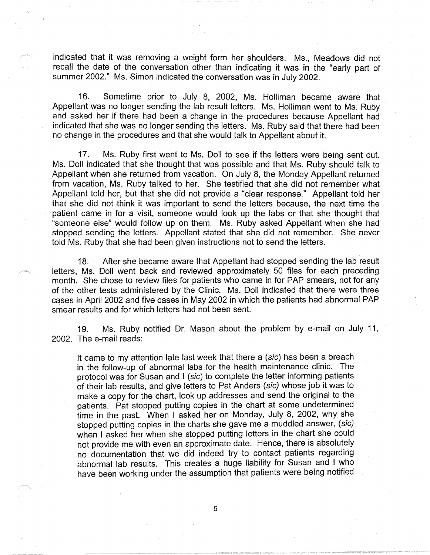indicated that it was removing a weight form her shoulders. Ms., Meadows did not recall the date of the conversation other than indicating it was in the "early part of summer 2002." Ms. Simon indicated the conversation was in July 2002.

16. Sometime prior to July 8, 2002, Ms. Holliman became aware that Appellant was no longer sending the lab result letters. Ms. Holliman went to Ms. Ruby and asked her if there had been a change in the procedures because Appellant had indicated that she was no longer sending the letters. Ms. Ruby said that there had been no change in the procedures and that she would talk to Appellant about it.

17. Ms. Ruby first went to Ms. Doll to see if the letters were being sent out. Ms. Doll indicated that she thought that was possible and that Ms. Ruby should talk to Appellant when she returned from vacation. On July 8, the Monday Appellant returned from vacation, Ms. Ruby talked to her. She testified that she did not remember what Appellant told her, but that she did not provide a "clear response." Appellant told her that she did not think it was important to send the letters because, the next time the patient came in for a visit, someone would look up the labs or that she thought that "someone else" would follow up on them. Ms. Ruby asked Appellant when she had stopped sending the letters. Appellant stated that she did not remember. She never told Ms. Ruby that she had been given instructions not to send the letters.

18. After she became aware that Appellant had stopped sending the lab result letters, Ms. Doll went back and reviewed approximately 50 files for each preceding month. She chose to review files for patients who came in for PAP smears, not for any of the other tests administered by the Clinic. Ms. Doll indicated that there were three cases in April 2002 and five cases in May 2002 in which the patients had abnormal PAP smear results and for which letters had not been sent.

19. Ms. Ruby notified Dr. Mason about the problem by e-mail on July 11, 2002. The e-mail reads:

It came to my attention late last week that there a (sic) has been a breach in the follow-up of abnormal labs for the health maintenance clinic. The protocol was for Susan and I (sic) to complete the letter informing patients of their lab results, and give letters to Pat Anders (sic) whose job it was to make a copy for the chart, look up addresses and send the original to the patients. Pat stopped putting copies in the chart at some undetermined time in the past. When I asked her on Monday, July 8, 2002, why she stopped putting copies in the charts she gave me a muddled answer, (sic) when I asked her when she stopped putting letters in the chart she could not provide me with even an approximate date. Hence, there is absolutely no documentation that we did indeed try to contact patients regarding abnormal lab results. This creates a huge liability for Susan and I who have been working under the assumption that patients were being notified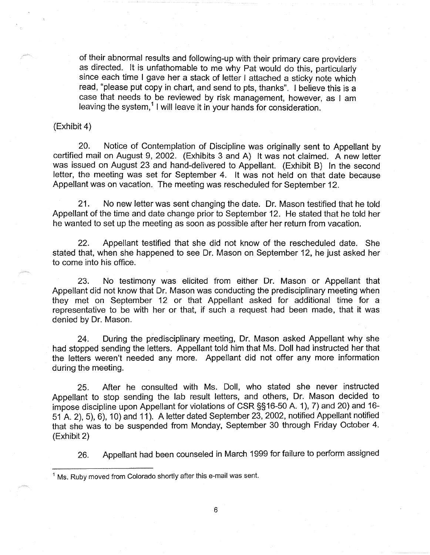of their abnormal results and following-up with their primary care providers as directed. It is unfathomable to me why Pat would do this, particularly since each time I gave her a stack of letter I attached a sticky note which read, "please put copy in chart, and send to pts, thanks". I believe this is a case that needs to be reviewed by risk management, however, as I am leaving the system,<sup>1</sup> I will leave it in your hands for consideration.

#### (Exhibit 4)

20. Notice of Contemplation of Discipline was originally sent to Appellant by certified mail on August 9, 2002. (Exhibits 3 and A) It was not claimed. A new letter was issued on August 23 and hand-delivered to Appellant. (Exhibit 8) In the second letter, the meeting was set for September 4. It was not held on that date because Appellant was on vacation. The meeting was rescheduled for September 12.

21. No new letter was sent changing the date. Dr. Mason testified that he told Appellant of the time and date change prior to September 12. He stated that he told her he wanted to set up the meeting as soon as possible after her return from vacation.

22. Appellant testified that she did not know of the rescheduled date. She stated that, when she happened to see Dr. Mason on September 12, he just asked her to come into his office.

23. No testimony was elicited from either Dr. Mason or Appellant that Appellant did not know that Dr. Mason was conducting the predisciplinary meeting when they met on September 12 or that Appellant asked for additional time for a representative to be with her or that, if such a request had been made, that it was denied by Dr. Mason.

24. During the predisciplinary meeting, Dr. Mason asked Appellant why she had stopped sending the letters. Appellant told him that Ms. Doll had instructed her that the letters weren't needed any more. Appellant did not offer any more information during the meeting.

25. After he consulted with Ms. Doll, who stated she never instructed Appellant to stop sending the lab result letters, and others, Dr. Mason decided to impose discipline upon Appellant for violations of CSR §§16-50 A. 1), 7) and 20) and 16- 51 A. 2), 5), 6), 10) and 11 ). A letter dated September 23, 2002, notified Appellant notified that she was to be suspended from Monday, September 30 through Friday October 4. (Exhibit 2)

26. Appellant had been counseled in March 1999 for failure to perform assigned

 $<sup>1</sup>$  Ms. Ruby moved from Colorado shortly after this e-mail was sent.</sup>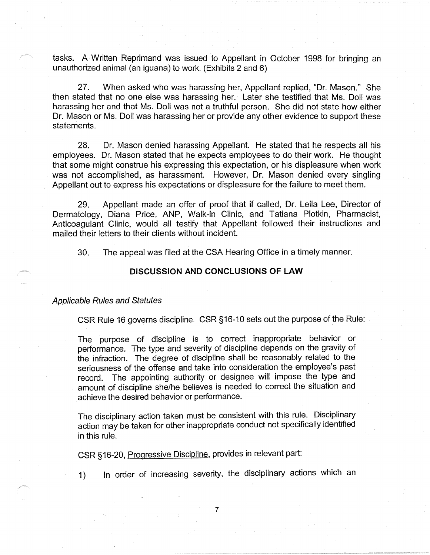tasks. A Written Reprimand was issued to Appellant in October 1998 for bringing an unauthorized animal (an iguana) to work. (Exhibits 2 and 6)

27. When asked who was harassing her, Appellant replied, "Dr. Mason." She then stated that no one else was harassing her. Later she testified that Ms. Doll was harassing her and that Ms. Doll was not a truthful person. She did not state how either Dr. Mason or Ms. Doll was harassing her or provide any other evidence to support these statements.

28. Dr. Mason denied harassing Appellant. He stated that he respects all his employees. Dr. Mason stated that he expects employees to do their work. He thought that some might construe his expressing this expectation, or his displeasure when work was not accomplished, as harassment. However, Dr. Mason denied every singling Appellant out to express his expectations or displeasure for the failure to meet them.

29. Appellant made an offer of proof that if called, Dr. Leila Lee, Director of Dermatology, Diana Price, ANP, Walk-in Clinic, and Tatiana Plotkin, Pharmacist, Anticoagulant Clinic, would all testify that Appellant followed their instructions and mailed their letters to their clients without incident.

30. The appeal was filed at the CSA Hearing Office in a timely manner.

## **DISCUSSION AND CONCLUSIONS OF LAW**

## Applicable Rules and Statutes

CSR Rule 16 governs discipline. CSR §16-10 sets out the purpose of the Rule:

The purpose of discipline is to correct inappropriate behavior or performance. The type and severity of discipline depends on the gravity of the infraction. The degree of discipline shall be reasonably related to the seriousness of the offense and take into consideration the employee's past record. The appointing authority or designee will impose the type and amount of discipline she/he believes is needed to correct the situation and achieve the desired behavior or performance.

The disciplinary action taken must be consistent with this rule. Disciplinary action may be taken for other inappropriate conduct not specifically identified in this rule.

CSR §16-20, Progressive Discipline, provides in relevant part:

1) In order of increasing severity, the disciplinary actions which an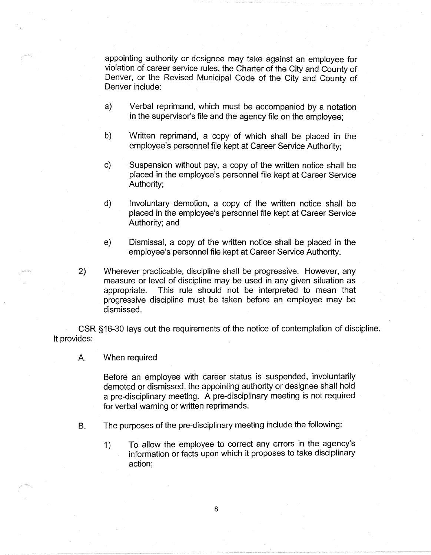appointing authority or designee may take against an employee for violation of career service rules, the Charter of the City and County of Denver, or the Revised Municipal Code of the City and County of Denver include:

- a) Verbal reprimand, which must be accompanied by a notation in the supervisor's file and the agency file on the employee;
- b) Written reprimand, a copy of which shall be placed in the employee's personnel file kept at Career Service Authority;
- c) Suspension without pay, a copy of the written notice shall be placed in the employee's personnel file kept at Career Service Authority;
- d) Involuntary demotion, a copy of the written notice shall be placed in the employee's personnel file kept at Career Service Authority; and
- e) Dismissal, a copy of the written notice shall be placed in the employee's personnel file kept at Career Service Authority.
- 2) Wherever practicable, discipline shall be progressive. However, any measure or level of discipline may be used in any given situation as appropriate. This rule should not be interpreted to mean that progressive discipline must be taken before an employee may be dismissed.

CSR §16-30 lays out the requirements of the notice of contemplation of discipline. It provides:

A. When required

Before an employee with career status is suspended, involuntarily demoted or dismissed, the appointing authority or designee shall hold a pre-disciplinary meeting. A pre-disciplinary meeting is not required for verbal warning or written reprimands.

- 8. The purposes of the pre-disciplinary meeting include the following:
	- 1) To allow the employee to correct any errors in the agency's information or facts upon which it proposes to take disciplinary action;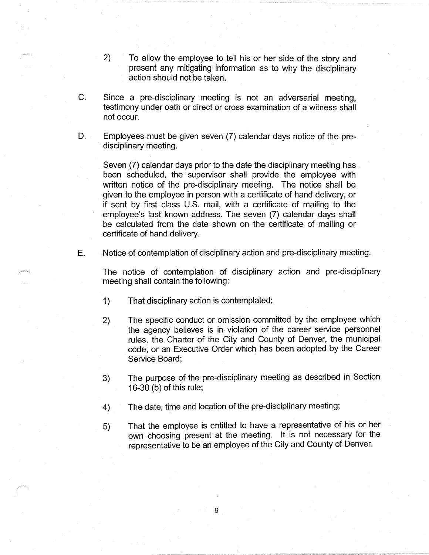- 2) To allow the employee to tell his or her side of the story and present any mitigating information as to why the disciplinary action should not be taken.
- C. Since a pre-disciplinary meeting is not an adversarial meeting, testimony under oath or direct or cross examination of a witness shall not occur.
- D. Employees must be given seven (7) calendar days notice of the predisciplinary meeting.

Seven (7) calendar days prior to the date the disciplinary meeting has been scheduled, the supervisor shall provide the employee with written notice of the pre-disciplinary meeting. The notice shall be given to the employee in person with a certificate of hand delivery, or if sent by first class U.S. mail, with a certificate of mailing to the employee's last known address. The seven (7) calendar days shall be calculated from the date shown on the certificate of mailing or certificate of hand delivery.

E. Notice of contemplation of disciplinary action and pre-disciplinary meeting.

The notice of contemplation of disciplinary action and pre-disciplinary meeting shall contain the following:

- 1) That disciplinary action is contemplated;
- 2) The specific conduct or omission committed by the employee which the agency believes is in violation of the career service personnel rules, the Charter of the City and County of Denver, the municipal code, or an Executive Order which has been adopted by the Career Service Board;
- 3) The purpose of the pre-disciplinary meeting as described in Section 16-30 (b) of this rule;
- 4) The date, time and location of the pre-disciplinary meeting;
- 5) That the employee is entitled to have a representative of his or her own choosing present at the meeting. It is not necessary for the representative to be an employee of the City and County of Denver.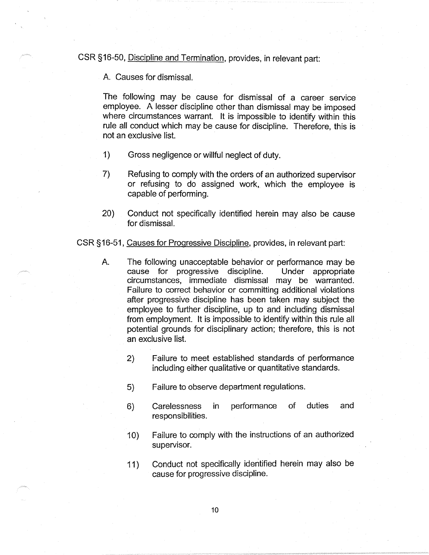CSR §16-50, Discipline and Termination, provides, in relevant part:

A. Causes for dismissaL

The following may be cause for dismissal of a career service employee. A lesser discipline other than dismissal may be imposed where circumstances warrant. It is impossible to identify within this rule all conduct which may be cause for discipline. Therefore, this is not an exclusive list.

- 1) Gross negligence or willful neglect of duty.
- 7) Refusing to comply with the orders of an authorized supervisor or refusing to do assigned work, which the employee is capable of performing.
- 20) Conduct not specifically identified herein may also be cause for dismissal.

CSR §16-51, Causes for Progressive Discipline, provides, in relevant part:

- A. The following unacceptable behavior or performance may be cause for progressive discipline. Under appropriate circumstances, immediate dismissal may be warranted. Failure to correct behavior or committing additional violations after progressive discipline has been taken may subject the employee to further discipline, up to and including dismissal from employment. It is impossible to identify within this rule all potential grounds for disciplinary action; therefore, this is not an exclusive list.
	- 2) Failure to meet established standards of performance including either qualitative or quantitative standards.
	- 5) Failure to observe department regulations.
	- 6) Carelessness in performance of duties and responsibilities.
	- 10) Failure to comply with the instructions of an authorized supervisor.
	- 11) Conduct not specifically identified herein may also be cause for progressive discipline.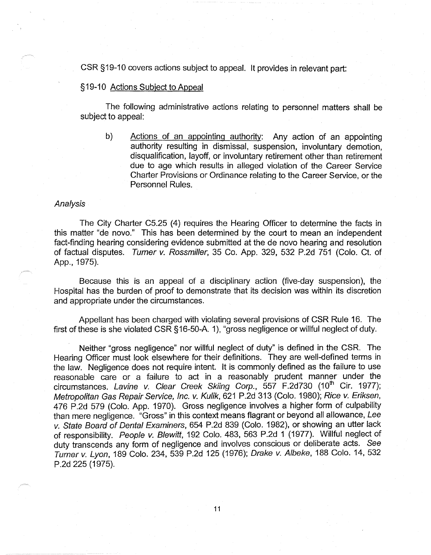CSR §19-10 covers actions subject to appeal. It provides in relevant part:

## §19-10 Actions Subject to Appeal

The following administrative actions relating to personnel matters shall be subject to appeal:

b) Actions of an appointing authority: Any action of an appointing authority resulting in dismissal, suspension, involuntary demotion, disqualification, layoff, or involuntary retirement other than retirement due to age which results in alleged violation of the Career Service Charter Provisions or Ordinance relating to the Career Service, or the Personnel Rules.

## Analysis

The City Charter C5.25 (4) requires the Hearing Officer to determine the facts in this matter "de novo." This has been determined by the court to mean an independent fact-finding hearing considering evidence submitted at the de novo hearing and resolution of factual disputes. Turner v. Rossmiller, 35 Co. App. 329, 532 P.2d 751 (Colo. Ct. of App., 1975).

Because this is an appeal of a disciplinary action (five-day suspension), the Hospital has the burden of proof to demonstrate that its decision was within its discretion and appropriate under the circumstances.

Appellant has been charged with violating several provisions of CSR Rule 16. The first of these is she violated CSR §16-50-A. 1), "gross negligence or willful neglect of duty.

Neither "gross negligence" nor willful neglect of duty" is defined in the CSR. The Hearing Officer must look elsewhere for their definitions. They are well-defined terms in the law. Negligence does not require intent. It is commonly defined as the failure to use reasonable care or a failure to act in a reasonably prudent manner under the circumstances. Lavine v. Clear Creek Skiing Corp., 557 F.2d730 (10<sup>th</sup> Cir. 1977); Metropolitan Gas Repair Service, Inc. v. Kulik, 621 P.2d 313 (Colo. 1980); Rice v. Eriksen, 476 P.2d 579 (Colo. App. 1970). Gross negligence involves a higher form of culpability than mere negligence. "Gross" in this context means flagrant or beyond all allowance, Lee v. State Board of Dental Examiners, 654 P.2d 839 (Colo. 1982), or showing an utter lack of responsibility. People v. Blewitt, 192 Colo. 483, 563 P.2d 1 (1977). Willful neglect of duty transcends any form of negligence and involves conscious or deliberate acts. See Turner v. Lyon, 189 Colo. 234, 539 P.2d 125 (1976); Drake v. Albeke, 188 Colo. 14, 532 P.2d 225 (1975).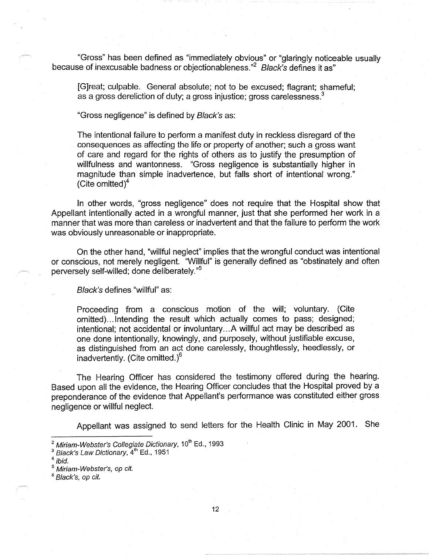"Gross" has been defined as "immediately obvious" or "glaringly noticeable usually because of inexcusable badness or objectionableness."<sup>2</sup> Black's defines it as"

[G]reat; culpable. General absolute; not to be excused; flagrant; shameful; as a gross dereliction of duty; a gross injustice; gross carelessness.<sup>3</sup>

"Gross negligence" is defined by Black's as:

The intentional failure to perform a manifest duty in reckless disregard of the consequences as affecting the life or property of another; such a gross want of care and regard for the rights of others as to justify the presumption of willfulness and wantonness. "Gross negligence is substantially higher in magnitude than simple inadvertence, but falls short of intentional wrong." (Cite omitted) $4$ 

In other words, "gross negligence" does not require that the Hospital show that Appellant intentionally acted in a wrongful manner, just that she performed her work in a manner that was more than careless or inadvertent and that the failure to perform the work was obviously unreasonable or inappropriate.

On the other hand, "willful neglect" implies that the wrongful conduct was intentional or conscious, not merely negligent. "Willful" is generally defined as "obstinately and often perversely self-willed; done deliberately."<sup>5</sup>

Black's defines "willful" as:

Proceeding from a conscious motion of the will; voluntary. (Cite omitted) ... Intending the result which actually comes to pass; designed; intentional; not accidental or involuntary ... A willful act may be described as one done intentionally, knowingly, and purposely, without justifiable excuse, as distinguished from an act done carelessly, thoughtlessly, heedlessly, or inadvertently. (Cite omitted.)<sup>6</sup>

The Hearing Officer has considered the testimony offered during the hearing. Based upon all the evidence, the Hearing Officer concludes that the Hospital proved by a preponderance of the evidence that Appellant's performance was constituted either gross negligence or willful neglect.

Appellant was assigned to send letters for the Health Clinic in May 2001. She

Miriam-Webster's Collegiate Dictionary, 10<sup>th</sup> Ed., 1993

Black's Law Dictionary, 4<sup>th</sup> Ed., 1951<br>ibid.

Miriam-Webster's, op cit.

<sup>6</sup>Black's, op *cit.*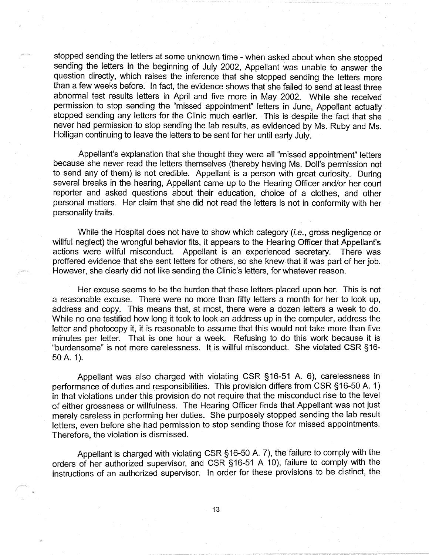stopped sending the letters at some unknown time - when asked about when she stopped sending the letters in the beginning of July 2002, Appellant was unable to answer the question directly, which raises the inference that she stopped sending the letters more than a few weeks before. In fact, the evidence shows that she failed to send at least three abnormal test results letters in April and five more in May 2002. While she received permission to stop sending the "missed appointment" letters in June, Appellant actually stopped sending any letters for the Clinic much earlier. This is despite the fact that she never had permission to stop sending the lab results, as evidenced by Ms. Ruby and Ms. Halligan continuing to leave the letters to be sent for her until early July.

Appellant's explanation that she thought they were all "missed appointment" letters because she never read the letters themselves (thereby having Ms. Doll's permission not to send any of them) is not credible. Appellant is a person with great curiosity. During several breaks in the hearing, Appellant came up to the Hearing Officer and/or her court reporter and asked questions about their education, choice of a clothes, and other personal matters. Her claim that she did not read the letters is not in conformity with her personality traits.

While the Hospital does not have to show which category *(i.e., gross negligence or* willful neglect) the wrongful behavior fits, it appears to the Hearing Officer that Appellant's actions were willful misconduct. Appellant is an experienced secretary. There was proffered evidence that she sent letters for others, so she knew that it was part of her job. However, she clearly did not like sending the Clinic's letters, for whatever reason.

Her excuse seems to be the burden that these letters placed upon her. This is not a reasonable excuse. There were no more than fifty letters a month for her to look up, address and copy. This means that, at most, there were a dozen letters a week to do. While no one testified how long it took to look an address up in the computer, address the letter and photocopy it, it is reasonable to assume that this would not take more than five minutes per letter. That is one hour a week. Refusing to do this work because it is "burdensome" is not mere carelessness. It is willful misconduct. She violated CSR §16- 50 A. 1).

Appellant was also charged with violating CSR §16-51 A. 6), carelessness in performance of duties and responsibilities. This provision differs from CSR §16-50 A. 1) in that violations under this provision do not require that the misconduct rise to the level of either grossness or willfulness. The Hearing Officer finds that Appellant was not just merely careless in performing her duties. She purposely stopped sending the lab result letters, even before she had permission to stop sending those for missed appointments. Therefore, the violation is dismissed.

Appellant is charged with violating CSR §16-50 A. 7), the failure to comply with the orders of her authorized supervisor, and CSR §16-51 A 10), failure to comply with the instructions of an authorized supervisor. In order for these provisions to be distinct, the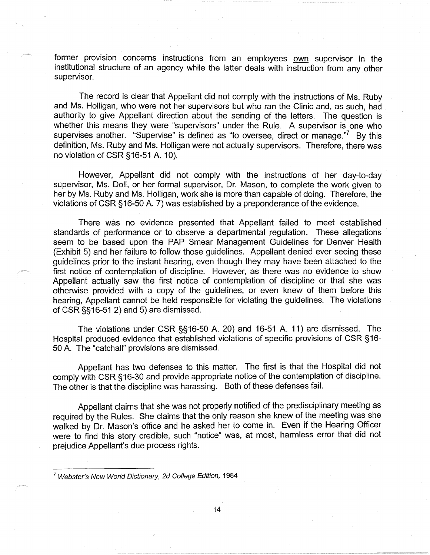former provision concerns instructions from an employees own supervisor in the institutional structure of an agency while the latter deals with instruction from any other supervisor.

The record is clear that Appellant did not comply with the instructions of Ms. Ruby and Ms. Halligan, who were not her supervisors but who ran the Clinic and, as such, had authority to give Appellant direction about the sending of the letters. The question is whether this means they were "supervisors" under the Rule. A supervisor is one who supervises another. "Supervise" is defined as "to oversee, direct or manage. $\mathrm{^{77}}$  By this definition, Ms. Ruby and Ms. Halligan were not actually supervisors. Therefore, there was no violation of CSR §16-51 A. 10).

However, Appellant did not comply with the instructions of her day-to-day supervisor, Ms. Doll, or her formal supervisor, Dr. Mason, to complete the work given to her by Ms. Ruby and Ms. Holligan, work she is more than capable of doing. Therefore, the violations of CSR §16-50 A. 7) was established by a preponderance of the evidence.

There was no evidence presented that Appellant failed to meet established standards of performance or to observe a departmental regulation. These allegations seem to be based upon the PAP Smear Management Guidelines for Denver Health (Exhibit 5) and her failure to follow those guidelines. Appellant denied ever seeing these guidelines prior to the instant hearing, even though they may have been attached to the first notice of contemplation of discipline. However, as there was no evidence to show Appellant actually saw the first notice of contemplation of discipline or that she was otherwise provided with a copy of the guidelines, or even knew of them before this hearing, Appellant cannot be held responsible for violating the guidelines. The violations of CSR §§16-51 2) and 5) are dismissed.

The violations under CSR §§16-50 A. 20) and 16-51 A. 11) are dismissed. The Hospital produced evidence that established violations of specific provisions of CSR §16- 50 A. The "catchall" provisions are dismissed.

Appellant has two defenses to this matter. The first is that the Hospital did not comply with CSR §16-30 and provide appropriate notice of the contemplation of discipline. The other is that the discipline was harassing. Both of these defenses fail.

Appellant claims that she was not properly notified of the predisciplinary meeting as required by the Rules. She claims that the only reason she knew of the meeting was she walked by Dr. Mason's office and he asked her to come in. Even if the Hearing Officer were to find this story credible, such "notice" was, at most, harmless error that did not prejudice Appellant's due process rights.

<sup>7</sup>Webster's New World Dictionary, 2d College Edition, 1984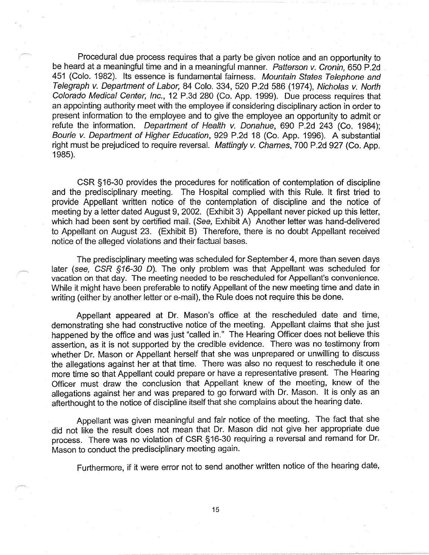Procedural due process requires that a party be given notice and an opportunity to be heard at a meaningful time and in a meaningful manner. Patterson v. Cronin, 650 P.2d 451 (Colo. 1982). Its essence is fundamental fairness. Mountain States Telephone and Telegraph *v.* Department of Labor, 84 Colo. 334, 520 P.2d 586 (1974), Nicholas *v.* North Colorado Medical Center, Inc., 12 P.3d 280 (Co. App. 1999). Due process requires that an appointing authority meet with the employee if considering disciplinary action in order to present information to the employee and to give the employee an opportunity to admit or refute the information. Department of Health *v.* Donahue, 690 P.2d 243 (Co. 1984); Bourie v. Department of Higher Education, 929 P.2d 18 (Co. App. 1996). A substantial right must be prejudiced to require reversal. Mattingly *v.* Charnes, 700 P.2d 927 (Co. App. 1985).

CSR §16-30 provides the procedures for notification of contemplation of discipline and the predisciplinary meeting. The Hospital complied with this Rule. It first tried to provide Appellant written notice of the contemplation of discipline and the notice of meeting by a letter dated August 9, 2002. (Exhibit 3) Appellant never picked up this letter, which had been sent by certified mail. (See, Exhibit A) Another letter was hand-delivered to Appellant on August 23. (Exhibit B) Therefore, there is no doubt Appellant received notice of the alleged violations and their factual bases.

The predisciplinary meeting was scheduled for September 4, more than seven days later (see, CSR §16-30 D). The only problem was that Appellant was scheduled for vacation on that day. The meeting needed to be rescheduled for Appellant's convenience. While it might have been preferable to notify Appellant of the new meeting time and date in writing (either by another letter or e-mail), the Rule does not require this be done.

Appellant appeared at Dr. Mason's office at the rescheduled date and time, demonstrating she had constructive notice of the meeting. Appellant claims that she just happened by the office and was just "called in." The Hearing Officer does not believe this assertion, as it is not supported by the credible evidence. There was no testimony from whether Dr. Mason or Appellant herself that she was unprepared or unwilling to discuss the allegations against her at that time. There was also no request to reschedule it one more time so that Appellant could prepare or have a representative present. The Hearing Officer must draw the conclusion that Appellant knew of the meeting, knew of the allegations against her and was prepared *to* go forward with Dr. Mason. It is only as an afterthought *to* the notice of discipline itself that she complains about the hearing date.

Appellant was given meaningful and fair notice of the meeting. The fact that she did not like the result does not mean that Dr. Mason did not give her appropriate due process. There was no violation of CSR §16-30 requiring a reversal and remand for Dr. Mason to conduct the predisciplinary meeting again.

Furthermore, if it were error not to send another written notice of the hearing date,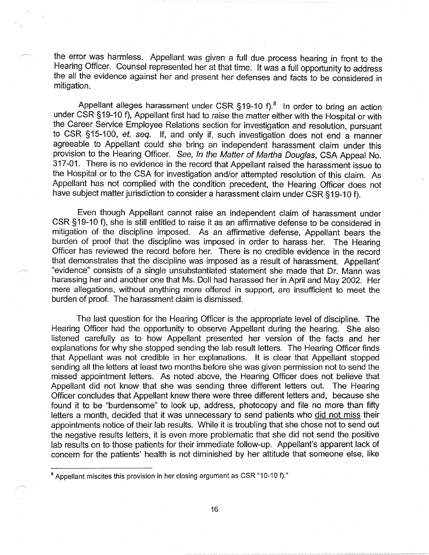the error was harmless. Appellant was given a full due process hearing in front to the Hearing Officer. Counsel represented her at that time. It was a full opportunity to address the all the evidence against her and present her defenses and facts to be considered in mitigation.

Appellant alleges harassment under CSR  $§19-10$  f).<sup>8</sup> In order to bring an action under CSR§19-10 f), Appellant first had to raise the matter either with the Hospital or with the Career Service Employee Relations section for investigation and resolution, pursuant to CSR §15-100, et. seq. If, and only if, such investigation does not end a manner agreeable to Appellant could she bring an independent harassment claim under this provision to the Hearing Officer. See, In the Matter of Martha Douglas, CSA Appeal No. 317-01. There is no evidence in the record that Appellant raised the harassment issue to the Hospital or to the CSA for investigation and/or attempted resolution of this claim. As Appellant has not complied with the condition precedent, the Hearing Officer does not have subject matter jurisdiction to consider a harassment claim under CSR §19-10 f).

Even though Appellant cannot raise an independent claim of harassment under CSR §19-10 f), she is still entitled to raise it as an affirmative defense to be considered in mitigation of the discipline imposed. As an affirmative defense, Appellant bears the burden of proof that the discipline was imposed in order to harass her. The Hearing Officer has reviewed the record before her. There is no credible evidence in the record that demonstrates that the discipline was imposed as a result of harassment. Appellant' "evidence" consists of a single unsubstantiated statement she made that Dr. Mann was harassing her and another one that Ms. Doll had harassed her in April and May 2002. Her mere allegations, without anything more offered in support, are insufficient to meet the burden of proof. The harassment claim is dismissed.

The last question for the Hearing Officer is the appropriate level of discipline. The Hearing Officer had the opportunity to observe Appellant during the hearing. She also listened carefully as to how Appellant presented her version of the facts and her explanations for why she stopped sending the lab result letters. The Hearing Officer finds that Appellant was not credible in her explanations. It is clear that Appellant stopped sending all the letters at least two months before she was given permission not to send the missed appointment letters. As noted above, the Hearing Officer does not believe that Appellant did not know that she was sending three different letters out. The Hearing Officer concludes that Appellant knew there were three different letters and, because she found it to be "burdensome" to look up, address, photocopy and file no more than fifty letters a month, decided that it was unnecessary to send patients who did not miss their appointments notice of their lab results. While it is troubling that she chose not to send out the negative results letters, it is even more problematic that she did not send the positive lab results on to those patients for their immediate follow-up. Appellant's apparent lack of concern for the patients' health is not diminished by her attitude that someone else, like

 $8$  Appellant miscites this provision in her closing argument as CSR  $"10-10$  f)."